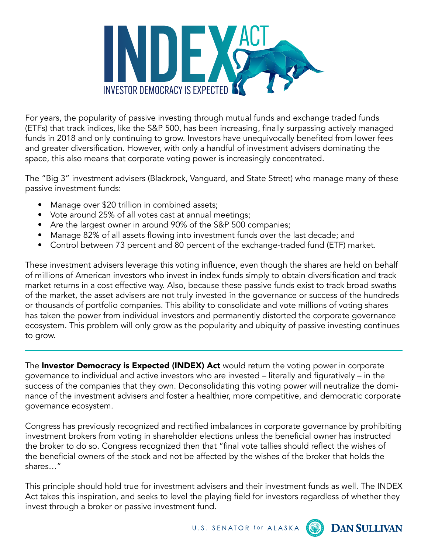

For years, the popularity of passive investing through mutual funds and exchange traded funds (ETFs) that track indices, like the S&P 500, has been increasing, finally surpassing actively managed funds in 2018 and only continuing to grow. Investors have unequivocally benefited from lower fees and greater diversification. However, with only a handful of investment advisers dominating the space, this also means that corporate voting power is increasingly concentrated.

The "Big 3" investment advisers (Blackrock, Vanguard, and State Street) who manage many of these passive investment funds:

- Manage over \$20 trillion in combined assets;
- Vote around 25% of all votes cast at annual meetings;
- Are the largest owner in around 90% of the S&P 500 companies;
- Manage 82% of all assets flowing into investment funds over the last decade; and
- Control between 73 percent and 80 percent of the exchange-traded fund (ETF) market.

These investment advisers leverage this voting influence, even though the shares are held on behalf of millions of American investors who invest in index funds simply to obtain diversification and track market returns in a cost effective way. Also, because these passive funds exist to track broad swaths of the market, the asset advisers are not truly invested in the governance or success of the hundreds or thousands of portfolio companies. This ability to consolidate and vote millions of voting shares has taken the power from individual investors and permanently distorted the corporate governance ecosystem. This problem will only grow as the popularity and ubiquity of passive investing continues to grow.

The Investor Democracy is Expected (INDEX) Act would return the voting power in corporate governance to individual and active investors who are invested – literally and figuratively – in the success of the companies that they own. Deconsolidating this voting power will neutralize the dominance of the investment advisers and foster a healthier, more competitive, and democratic corporate governance ecosystem.

Congress has previously recognized and rectified imbalances in corporate governance by prohibiting investment brokers from voting in shareholder elections unless the beneficial owner has instructed the broker to do so. Congress recognized then that "final vote tallies should reflect the wishes of the beneficial owners of the stock and not be affected by the wishes of the broker that holds the shares…"

This principle should hold true for investment advisers and their investment funds as well. The INDEX Act takes this inspiration, and seeks to level the playing field for investors regardless of whether they invest through a broker or passive investment fund.

U.S. SENATOR for ALASKA